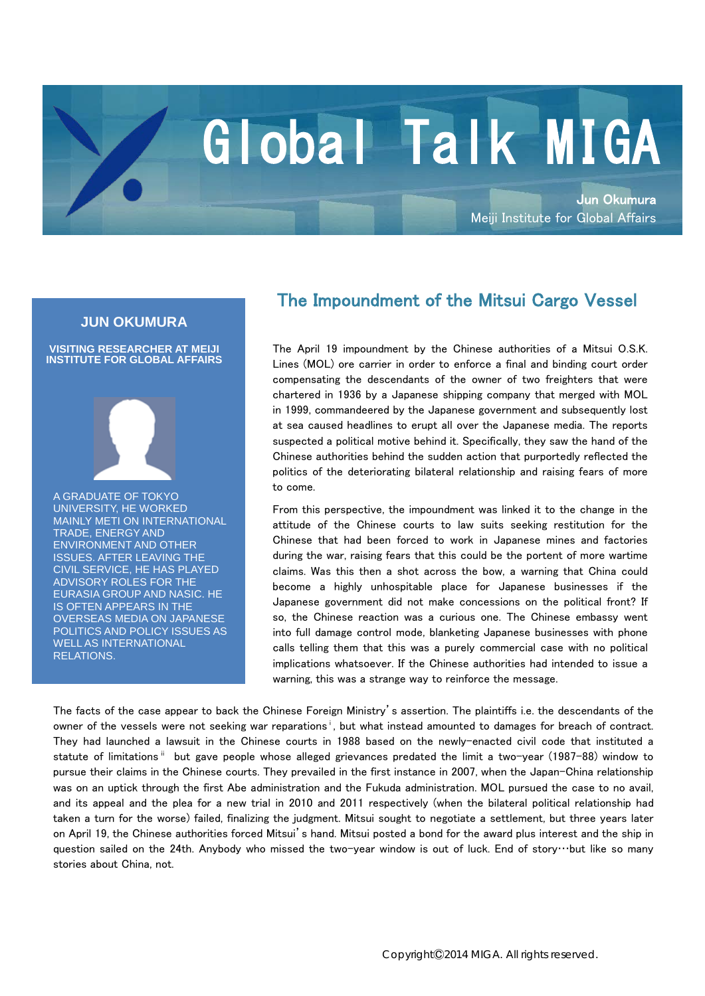## Global Talk MIGA

Jun Okumura Meiji Institute for Global Affairs

## **JUN OKUMURA**

**VISITING RESEARCHER AT MEIJI INSTITUTE FOR GLOBAL AFFAIRS**



A GRADUATE OF TOKYO UNIVERSITY, HE WORKED MAINLY METI ON INTERNATIONAL TRADE, ENERGY AND ENVIRONMENT AND OTHER ISSUES. AFTER LEAVING THE CIVIL SERVICE, HE HAS PLAYED ADVISORY ROLES FOR THE EURASIA GROUP AND NASIC. HE IS OFTEN APPEARS IN THE OVERSEAS MEDIA ON JAPANESE POLITICS AND POLICY ISSUES AS WELL AS INTERNATIONAL RELATIONS.

## The Impoundment of the Mitsui Cargo Vessel

The April 19 impoundment by the Chinese authorities of a Mitsui O.S.K. Lines (MOL) ore carrier in order to enforce a final and binding court order compensating the descendants of the owner of two freighters that were chartered in 1936 by a Japanese shipping company that merged with MOL in 1999, commandeered by the Japanese government and subsequently lost at sea caused headlines to erupt all over the Japanese media. The reports suspected a political motive behind it. Specifically, they saw the hand of the Chinese authorities behind the sudden action that purportedly reflected the politics of the deteriorating bilateral relationship and raising fears of more to come.

From this perspective, the impoundment was linked it to the change in the attitude of the Chinese courts to law suits seeking restitution for the Chinese that had been forced to work in Japanese mines and factories during the war, raising fears that this could be the portent of more wartime claims. Was this then a shot across the bow, a warning that China could become a highly unhospitable place for Japanese businesses if the Japanese government did not make concessions on the political front? If so, the Chinese reaction was a curious one. The Chinese embassy went into full damage control mode, blanketing Japanese businesses with phone calls telling them that this was a purely commercial case with no political implications whatsoever. If the Chinese authorities had intended to issue a warning, this was a strange way to reinforce the message.

The facts of the case appear to back the Chinese Foreign Ministry's assertion. The plaintiffs i.e. the descendants of the owner of the vessels were not seeking war reparations<sup>i</sup>, but what instead amounted to damages for breach of contract. They had launched a lawsuit in the Chinese courts in 1988 based on the newly-enacted civil code that instituted a statute of limitations <sup>ii</sup> but gave people whose alleged grievances predated the limit a two-year (1987-88) window to pursue their claims in the Chinese courts. They prevailed in the first instance in 2007, when the Japan-China relationship was on an uptick through the first Abe administration and the Fukuda administration. MOL pursued the case to no avail, and its appeal and the plea for a new trial in 2010 and 2011 respectively (when the bilateral political relationship had taken a turn for the worse) failed, finalizing the judgment. Mitsui sought to negotiate a settlement, but three years later on April 19, the Chinese authorities forced Mitsui's hand. Mitsui posted a bond for the award plus interest and the ship in question sailed on the 24th. Anybody who missed the two-year window is out of luck. End of story…but like so many stories about China, not.